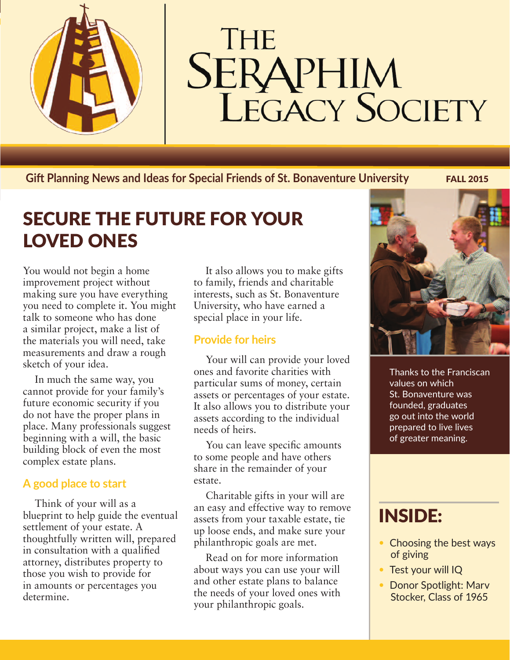

# THE **SERAPHIM**<br>LEGACY SOCIETY

**Giđ Planning News and Ideas for Special Friends of St. Bonaventure University** FALL 2015

## SECURE THE FUTURE FOR YOUR LOVED ONES

You would not begin a home improvement project without making sure you have everything you need to complete it. You might talk to someone who has done a similar project, make a list of the materials you will need, take measurements and draw a rough sketch of your idea.

In much the same way, you cannot provide for your family's future economic security if you do not have the proper plans in place. Many professionals suggest beginning with a will, the basic building block of even the most complex estate plans.

#### **A good place to start**

Think of your will as a blueprint to help guide the eventual settlement of your estate. A thoughtfully written will, prepared in consultation with a qualified attorney, distributes property to those you wish to provide for in amounts or percentages you determine.

It also allows you to make gifts to family, friends and charitable interests, such as St. Bonaventure University, who have earned a special place in your life.

#### **Provide for heirs**

Your will can provide your loved ones and favorite charities with particular sums of money, certain assets or percentages of your estate. It also allows you to distribute your assets according to the individual needs of heirs.

You can leave specific amounts to some people and have others share in the remainder of your estate.

Charitable gifts in your will are an easy and effective way to remove assets from your taxable estate, tie up loose ends, and make sure your philanthropic goals are met.

Read on for more information about ways you can use your will and other estate plans to balance the needs of your loved ones with your philanthropic goals.



Thanks to the Franciscan values on which St. Bonaventure was founded, graduates go out into the world prepared to live lives of greater meaning.

## INSIDE:

- Choosing the best ways of giving
- Test your will IQ
- Donor Spotlight: Marv Stocker, Class of 1965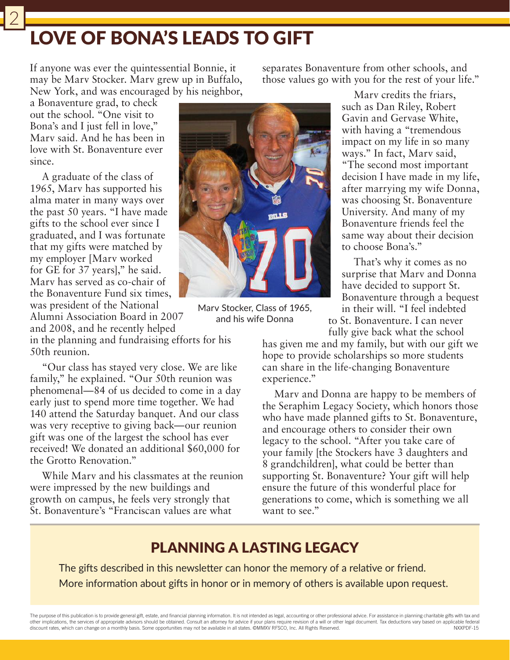## LOVE OF BONA'S LEADS TO GIFT

If anyone was ever the quintessential Bonnie, it may be Marv Stocker. Marv grew up in Buffalo, New York, and was encouraged by his neighbor,

a Bonaventure grad, to check out the school. "One visit to Bona's and I just fell in love," Marv said. And he has been in love with St. Bonaventure ever since.

2

A graduate of the class of 1965, Marv has supported his alma mater in many ways over the past 50 years. "I have made gifts to the school ever since I graduated, and I was fortunate that my gifts were matched by my employer [Marv worked for GE for 37 years]," he said. Marv has served as co-chair of the Bonaventure Fund six times, was president of the National Alumni Association Board in 2007

and 2008, and he recently helped in the planning and fundraising efforts for his 50th reunion.

"Our class has stayed very close. We are like family," he explained. "Our 50th reunion was phenomenal—84 of us decided to come in a day early just to spend more time together. We had 140 attend the Saturday banquet. And our class was very receptive to giving back—our reunion gift was one of the largest the school has ever received! We donated an additional \$60,000 for the Grotto Renovation"

While Marv and his classmates at the reunion were impressed by the new buildings and growth on campus, he feels very strongly that St. Bonaventure's "Franciscan values are what

separates Bonaventure from other schools, and those values go with you for the rest of your life."

> Marv credits the friars, such as Dan Riley, Robert Gavin and Gervase White, with having a "tremendous impact on my life in so many ways." In fact, Marv said, "The second most important decision I have made in my life, after marrying my wife Donna, was choosing St. Bonaventure University. And many of my Bonaventure friends feel the same way about their decision to choose Bona's."

> That's why it comes as no surprise that Marv and Donna have decided to support St. Bonaventure through a bequest in their will. "I feel indebted

to St. Bonaventure. I can never fully give back what the school

has given me and my family, but with our gift we hope to provide scholarships so more students can share in the life-changing Bonaventure experience."

Marv and Donna are happy to be members of the Seraphim Legacy Society, which honors those who have made planned gifts to St. Bonaventure, and encourage others to consider their own legacy to the school. "After you take care of your family [the Stockers have 3 daughters and 8 grandchildren], what could be better than supporting St. Bonaventure? Your gift will help ensure the future of this wonderful place for generations to come, which is something we all want to see."

### PLANNING A LASTING LEGACY

The gifts described in this newsletter can honor the memory of a relative or friend. More information about gifts in honor or in memory of others is available upon request.

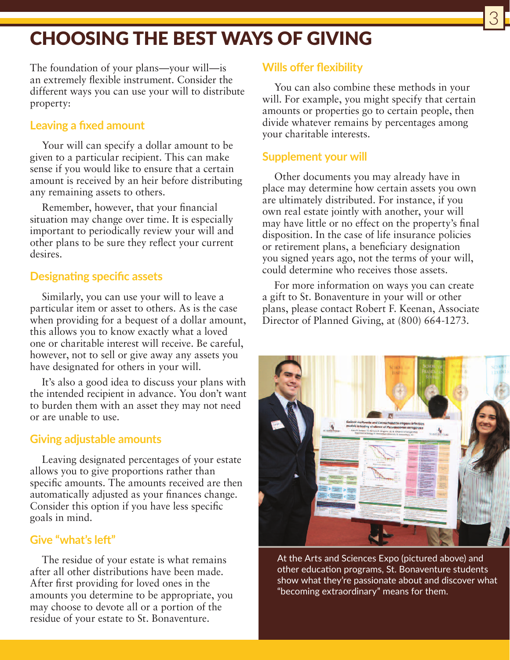## CHOOSING THE BEST WAYS OF GIVING

The foundation of your plans—your will—is an extremely flexible instrument. Consider the different ways you can use your will to distribute property:

#### **Leaving a fixed amount**

Your will can specify a dollar amount to be given to a particular recipient. This can make sense if you would like to ensure that a certain amount is received by an heir before distributing any remaining assets to others.

Remember, however, that your financial situation may change over time. It is especially important to periodically review your will and other plans to be sure they reflect your current desires.

#### **Designating specific assets**

Similarly, you can use your will to leave a particular item or asset to others. As is the case when providing for a bequest of a dollar amount, this allows you to know exactly what a loved one or charitable interest will receive. Be careful, however, not to sell or give away any assets you have designated for others in your will.

It's also a good idea to discuss your plans with the intended recipient in advance. You don't want to burden them with an asset they may not need or are unable to use.

#### **Giving adjustable amounts**

Leaving designated percentages of your estate allows you to give proportions rather than specific amounts. The amounts received are then automatically adjusted as your finances change. Consider this option if you have less specific goals in mind.

#### **Give "what's leđ"**

The residue of your estate is what remains after all other distributions have been made. After first providing for loved ones in the amounts you determine to be appropriate, you may choose to devote all or a portion of the residue of your estate to St. Bonaventure.

#### **Wills offer flexibility**

You can also combine these methods in your will. For example, you might specify that certain amounts or properties go to certain people, then divide whatever remains by percentages among your charitable interests.

#### **Supplement your will**

Other documents you may already have in place may determine how certain assets you own are ultimately distributed. For instance, if you own real estate jointly with another, your will may have little or no effect on the property's final disposition. In the case of life insurance policies or retirement plans, a beneficiary designation you signed years ago, not the terms of your will, could determine who receives those assets.

For more information on ways you can create a gift to St. Bonaventure in your will or other plans, please contact Robert F. Keenan, Associate Director of Planned Giving, at (800) 664-1273.



At the Arts and Sciences Expo (pictured above) and other education programs, St. Bonaventure students show what they're passionate about and discover what "becoming extraordinary" means for them.

3